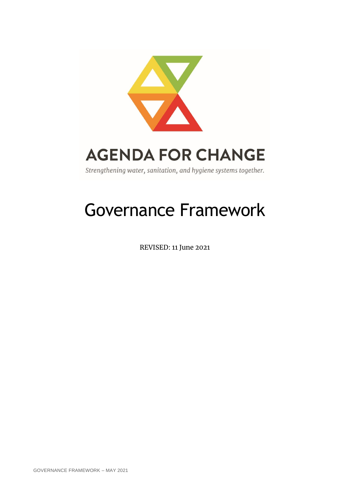

# Governance Framework

REVISED: 11 June 2021

GOVERNANCE FRAMEWORK – MAY 2021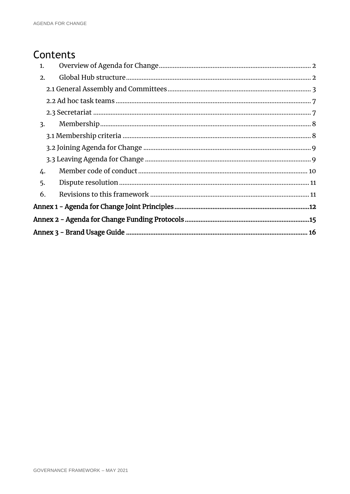### Contents

| 1.               |  |
|------------------|--|
| 2.               |  |
|                  |  |
|                  |  |
|                  |  |
| $\overline{3}$ . |  |
|                  |  |
|                  |  |
|                  |  |
| 4.               |  |
| 5.               |  |
| 6.               |  |
|                  |  |
|                  |  |
|                  |  |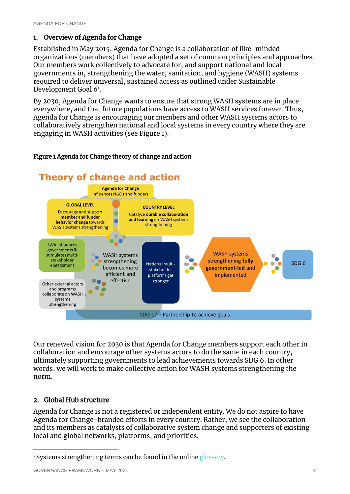#### <span id="page-2-0"></span>1. Overview of Agenda for Change

Established in May 2015, Agenda for Change is a collaboration of like-minded organizations (members) that have adopted a set of common principles and approaches. Our members work collectively to advocate for, and support national and local governments in, strengthening the water, sanitation, and hygiene (WASH) systems required to deliver universal, sustained access as outlined under Sustainable Development Goal 6<sup>1</sup>.

By 2030, Agenda for Change wants to ensure that strong WASH systems are in place everywhere, and that future populations have access to WASH services forever. Thus, Agenda for Change is encouraging our members and other WASH systems actors to collaboratively strengthen national and local systems in every country where they are engaging in WASH activities (see Figure 1).

#### Figure 1 Agenda for Change theory of change and action



Our renewed vision for 2030 is that Agenda for Change members support each other in collaboration and encourage other systems actors to do the same in each country, ultimately supporting governments to lead achievements towards SDG 6. In other words, we will work to make collective action for WASH systems strengthening the norm.

#### <span id="page-2-1"></span>2. Global Hub structure

-

Agenda for Change is not a registered or independent entity. We do not aspire to have Agenda for Change-branded efforts in every country. Rather, we see the collaboration and its members as catalysts of collaborative system change and supporters of existing local and global networks, platforms, and priorities.

<sup>&</sup>lt;sup>1</sup> Systems strengthening terms can be found in the onlin[e glossary.](https://washagendaforchange.org/glossary/)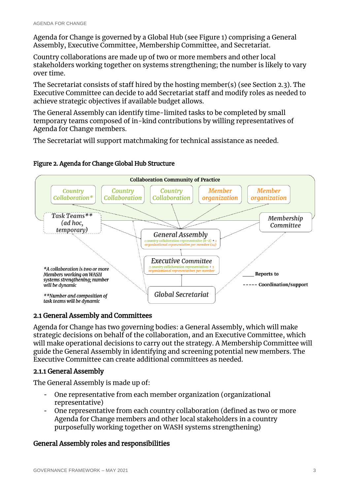Agenda for Change is governed by a Global Hub (see Figure 1) comprising a General Assembly, Executive Committee, Membership Committee, and Secretariat.

Country collaborations are made up of two or more members and other local stakeholders working together on systems strengthening; the number is likely to vary over time.

The Secretariat consists of staff hired by the hosting member(s) (see Section 2.3). The Executive Committee can decide to add Secretariat staff and modify roles as needed to achieve strategic objectives if available budget allows.

The General Assembly can identify time-limited tasks to be completed by small temporary teams composed of in-kind contributions by willing representatives of Agenda for Change members.

The Secretariat will support matchmaking for technical assistance as needed.

#### Figure 2. Agenda for Change Global Hub Structure



#### <span id="page-3-0"></span>2.1 General Assembly and Committees

Agenda for Change has two governing bodies: a General Assembly, which will make strategic decisions on behalf of the collaboration, and an Executive Committee, which will make operational decisions to carry out the strategy. A Membership Committee will guide the General Assembly in identifying and screening potential new members. The Executive Committee can create additional committees as needed.

#### 2.1.1 General Assembly

The General Assembly is made up of:

- One representative from each member organization (organizational representative)
- One representative from each country collaboration (defined as two or more Agenda for Change members and other local stakeholders in a country purposefully working together on WASH systems strengthening)

#### General Assembly roles and responsibilities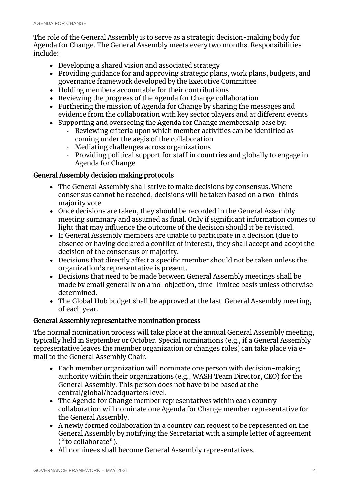The role of the General Assembly is to serve as a strategic decision-making body for Agenda for Change. The General Assembly meets every two months. Responsibilities include:

- Developing a shared vision and associated strategy
- Providing guidance for and approving strategic plans, work plans, budgets, and governance framework developed by the Executive Committee
- Holding members accountable for their contributions
- Reviewing the progress of the Agenda for Change collaboration
- Furthering the mission of Agenda for Change by sharing the messages and evidence from the collaboration with key sector players and at different events
- Supporting and overseeing the Agenda for Change membership base by:
	- Reviewing criteria upon which member activities can be identified as coming under the aegis of the collaboration
	- Mediating challenges across organizations
	- Providing political support for staff in countries and globally to engage in Agenda for Change

#### General Assembly decision making protocols

- The General Assembly shall strive to make decisions by consensus. Where consensus cannot be reached, decisions will be taken based on a two-thirds majority vote.
- Once decisions are taken, they should be recorded in the General Assembly meeting summary and assumed as final. Only if significant information comes to light that may influence the outcome of the decision should it be revisited.
- If General Assembly members are unable to participate in a decision (due to absence or having declared a conflict of interest), they shall accept and adopt the decision of the consensus or majority.
- Decisions that directly affect a specific member should not be taken unless the organization's representative is present.
- Decisions that need to be made between General Assembly meetings shall be made by email generally on a no-objection, time-limited basis unless otherwise determined.
- The Global Hub budget shall be approved at the last General Assembly meeting, of each year.

#### General Assembly representative nomination process

The normal nomination process will take place at the annual General Assembly meeting, typically held in September or October. Special nominations (e.g., if a General Assembly representative leaves the member organization or changes roles) can take place via email to the General Assembly Chair.

- Each member organization will nominate one person with decision-making authority within their organizations (e.g., WASH Team Director, CEO) for the General Assembly. This person does not have to be based at the central/global/headquarters level.
- The Agenda for Change member representatives within each country collaboration will nominate one Agenda for Change member representative for the General Assembly.
- A newly formed collaboration in a country can request to be represented on the General Assembly by notifying the Secretariat with a simple letter of agreement ("to collaborate").
- All nominees shall become General Assembly representatives.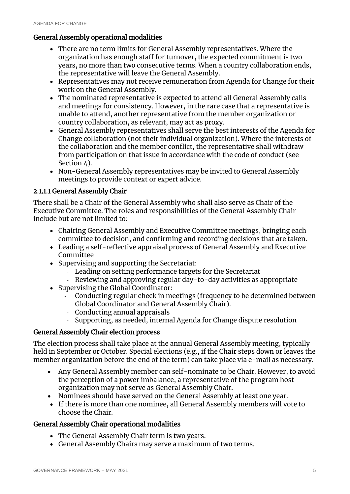#### General Assembly operational modalities

- There are no term limits for General Assembly representatives. Where the organization has enough staff for turnover, the expected commitment is two years, no more than two consecutive terms. When a country collaboration ends, the representative will leave the General Assembly.
- Representatives may not receive remuneration from Agenda for Change for their work on the General Assembly.
- The nominated representative is expected to attend all General Assembly calls and meetings for consistency. However, in the rare case that a representative is unable to attend, another representative from the member organization or country collaboration, as relevant, may act as proxy.
- General Assembly representatives shall serve the best interests of the Agenda for Change collaboration (not their individual organization). Where the interests of the collaboration and the member conflict, the representative shall withdraw from participation on that issue in accordance with the code of conduct (see Section  $\Delta$ ).
- Non-General Assembly representatives may be invited to General Assembly meetings to provide context or expert advice.

#### 2.1.1.1 General Assembly Chair

There shall be a Chair of the General Assembly who shall also serve as Chair of the Executive Committee. The roles and responsibilities of the General Assembly Chair include but are not limited to:

- Chairing General Assembly and Executive Committee meetings, bringing each committee to decision, and confirming and recording decisions that are taken.
- Leading a self-reflective appraisal process of General Assembly and Executive Committee
- Supervising and supporting the Secretariat:
	- Leading on setting performance targets for the Secretariat
	- Reviewing and approving regular day-to-day activities as appropriate
- Supervising the Global Coordinator:
	- Conducting regular check in meetings (frequency to be determined between Global Coordinator and General Assembly Chair).
	- Conducting annual appraisals
	- Supporting, as needed, internal Agenda for Change dispute resolution

#### General Assembly Chair election process

The election process shall take place at the annual General Assembly meeting, typically held in September or October. Special elections (e.g., if the Chair steps down or leaves the member organization before the end of the term) can take place via e-mail as necessary.

- Any General Assembly member can self-nominate to be Chair. However, to avoid the perception of a power imbalance, a representative of the program host organization may not serve as General Assembly Chair.
- Nominees should have served on the General Assembly at least one year.
- If there is more than one nominee, all General Assembly members will vote to choose the Chair.

#### General Assembly Chair operational modalities

- The General Assembly Chair term is two years.
- General Assembly Chairs may serve a maximum of two terms.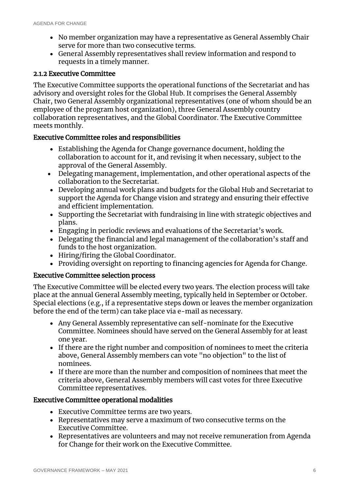- No member organization may have a representative as General Assembly Chair serve for more than two consecutive terms.
- General Assembly representatives shall review information and respond to requests in a timely manner.

#### 2.1.2 Executive Committee

The Executive Committee supports the operational functions of the Secretariat and has advisory and oversight roles for the Global Hub. It comprises the General Assembly Chair, two General Assembly organizational representatives (one of whom should be an employee of the program host organization), three General Assembly country collaboration representatives, and the Global Coordinator. The Executive Committee meets monthly.

#### Executive Committee roles and responsibilities

- Establishing the Agenda for Change governance document, holding the collaboration to account for it, and revising it when necessary, subject to the approval of the General Assembly.
- Delegating management, implementation, and other operational aspects of the collaboration to the Secretariat.
- Developing annual work plans and budgets for the Global Hub and Secretariat to support the Agenda for Change vision and strategy and ensuring their effective and efficient implementation.
- Supporting the Secretariat with fundraising in line with strategic objectives and plans.
- Engaging in periodic reviews and evaluations of the Secretariat's work.
- Delegating the financial and legal management of the collaboration's staff and funds to the host organization.
- Hiring/firing the Global Coordinator.
- Providing oversight on reporting to financing agencies for Agenda for Change.

#### Executive Committee selection process

The Executive Committee will be elected every two years. The election process will take place at the annual General Assembly meeting, typically held in September or October. Special elections (e.g., if a representative steps down or leaves the member organization before the end of the term) can take place via e-mail as necessary.

- Any General Assembly representative can self-nominate for the Executive Committee. Nominees should have served on the General Assembly for at least one year.
- If there are the right number and composition of nominees to meet the criteria above, General Assembly members can vote "no objection" to the list of nominees.
- If there are more than the number and composition of nominees that meet the criteria above, General Assembly members will cast votes for three Executive Committee representatives.

#### Executive Committee operational modalities

- Executive Committee terms are two years.
- Representatives may serve a maximum of two consecutive terms on the Executive Committee.
- Representatives are volunteers and may not receive remuneration from Agenda for Change for their work on the Executive Committee.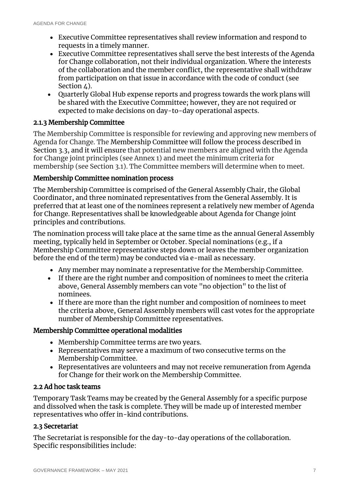- Executive Committee representatives shall review information and respond to requests in a timely manner.
- Executive Committee representatives shall serve the best interests of the Agenda for Change collaboration, not their individual organization. Where the interests of the collaboration and the member conflict, the representative shall withdraw from participation on that issue in accordance with the code of conduct (see Section  $\Delta$ ).
- Quarterly Global Hub expense reports and progress towards the work plans will be shared with the Executive Committee; however, they are not required or expected to make decisions on day-to-day operational aspects.

#### 2.1.3 Membership Committee

The Membership Committee is responsible for reviewing and approving new members of Agenda for Change. The Membership Committee will follow the process described in Section 3.3, and it will ensure that potential new members are aligned with the Agenda for Change joint principles (see Annex 1) and meet the minimum criteria for membership (see Section 3.1). The Committee members will determine when to meet.

#### Membership Committee nomination process

The Membership Committee is comprised of the General Assembly Chair, the Global Coordinator, and three nominated representatives from the General Assembly. It is preferred that at least one of the nominees represent a relatively new member of Agenda for Change. Representatives shall be knowledgeable about Agenda for Change joint principles and contributions.

The nomination process will take place at the same time as the annual General Assembly meeting, typically held in September or October. Special nominations (e.g., if a Membership Committee representative steps down or leaves the member organization before the end of the term) may be conducted via e-mail as necessary.

- Any member may nominate a representative for the Membership Committee.
- If there are the right number and composition of nominees to meet the criteria above, General Assembly members can vote "no objection" to the list of nominees.
- If there are more than the right number and composition of nominees to meet the criteria above, General Assembly members will cast votes for the appropriate number of Membership Committee representatives.

#### Membership Committee operational modalities

- Membership Committee terms are two years.
- Representatives may serve a maximum of two consecutive terms on the Membership Committee.
- Representatives are volunteers and may not receive remuneration from Agenda for Change for their work on the Membership Committee.

#### <span id="page-7-0"></span>2.2 Ad hoc task teams

Temporary Task Teams may be created by the General Assembly for a specific purpose and dissolved when the task is complete. They will be made up of interested member representatives who offer in-kind contributions.

#### <span id="page-7-1"></span>2.3 Secretariat

The Secretariat is responsible for the day-to-day operations of the collaboration. Specific responsibilities include: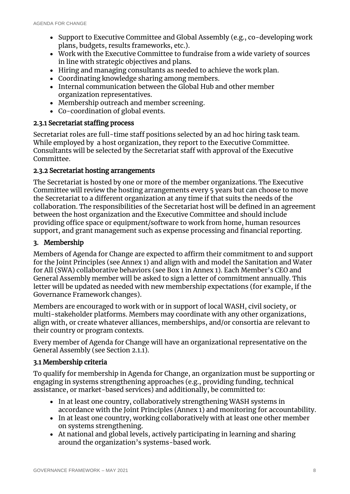- Support to Executive Committee and Global Assembly (e.g., co-developing work plans, budgets, results frameworks, etc.).
- Work with the Executive Committee to fundraise from a wide variety of sources in line with strategic objectives and plans.
- Hiring and managing consultants as needed to achieve the work plan.
- Coordinating knowledge sharing among members.
- Internal communication between the Global Hub and other member organization representatives.
- Membership outreach and member screening.
- Co-coordination of global events.

#### 2.3.1 Secretariat staffing process

Secretariat roles are full-time staff positions selected by an ad hoc hiring task team. While employed by a host organization, they report to the Executive Committee. Consultants will be selected by the Secretariat staff with approval of the Executive Committee.

#### 2.3.2 Secretariat hosting arrangements

The Secretariat is hosted by one or more of the member organizations. The Executive Committee will review the hosting arrangements every 5 years but can choose to move the Secretariat to a different organization at any time if that suits the needs of the collaboration. The responsibilities of the Secretariat host will be defined in an agreement between the host organization and the Executive Committee and should include providing office space or equipment/software to work from home, human resources support, and grant management such as expense processing and financial reporting.

#### <span id="page-8-0"></span>3. Membership

Members of Agenda for Change are expected to affirm their commitment to and support for the Joint Principles (see Annex 1) and align with and model the Sanitation and Water for All (SWA) collaborative behaviors (see Box 1 in Annex 1). Each Member's CEO and General Assembly member will be asked to sign a letter of commitment annually. This letter will be updated as needed with new membership expectations (for example, if the Governance Framework changes).

Members are encouraged to work with or in support of local WASH, civil society, or multi-stakeholder platforms. Members may coordinate with any other organizations, align with, or create whatever alliances, memberships, and/or consortia are relevant to their country or program contexts.

Every member of Agenda for Change will have an organizational representative on the General Assembly (see Section 2.1.1).

#### <span id="page-8-1"></span>3.1 Membership criteria

To qualify for membership in Agenda for Change, an organization must be supporting or engaging in systems strengthening approaches (e.g., providing funding, technical assistance, or market-based services) and additionally, be committed to:

- In at least one country, collaboratively strengthening WASH systems in accordance with the Joint Principles (Annex 1) and monitoring for accountability.
- In at least one country, working collaboratively with at least one other member on systems strengthening.
- At national and global levels, actively participating in learning and sharing around the organization's systems-based work.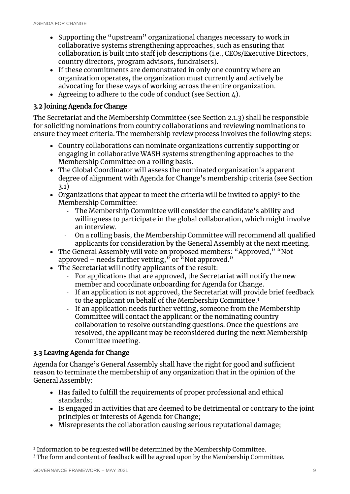- Supporting the "upstream" organizational changes necessary to work in collaborative systems strengthening approaches, such as ensuring that collaboration is built into staff job descriptions (i.e., CEOs/Executive Directors, country directors, program advisors, fundraisers).
- If these commitments are demonstrated in only one country where an organization operates, the organization must currently and actively be advocating for these ways of working across the entire organization.
- Agreeing to adhere to the code of conduct (see Section  $\angle$ ).

#### <span id="page-9-0"></span>3.2 Joining Agenda for Change

The Secretariat and the Membership Committee (see Section 2.1.3) shall be responsible for soliciting nominations from country collaborations and reviewing nominations to ensure they meet criteria. The membership review process involves the following steps:

- Country collaborations can nominate organizations currently supporting or engaging in collaborative WASH systems strengthening approaches to the Membership Committee on a rolling basis.
- The Global Coordinator will assess the nominated organization's apparent degree of alignment with Agenda for Change's membership criteria (see Section 3.1)
- Organizations that appear to meet the criteria will be invited to apply<sup>2</sup> to the Membership Committee:
	- The Membership Committee will consider the candidate's ability and willingness to participate in the global collaboration, which might involve an interview.
	- On a rolling basis, the Membership Committee will recommend all qualified applicants for consideration by the General Assembly at the next meeting.
- The General Assembly will vote on proposed members: "Approved," "Not approved – needs further vetting," or  $\alpha$ Wot approved."
- The Secretariat will notify applicants of the result:
	- For applications that are approved, the Secretariat will notify the new member and coordinate onboarding for Agenda for Change.
	- If an application is not approved, the Secretariat will provide brief feedback to the applicant on behalf of the Membership Committee. 3
	- If an application needs further vetting, someone from the Membership Committee will contact the applicant or the nominating country collaboration to resolve outstanding questions. Once the questions are resolved, the applicant may be reconsidered during the next Membership Committee meeting.

#### <span id="page-9-1"></span>3.3 Leaving Agenda for Change

Agenda for Change's General Assembly shall have the right for good and sufficient reason to terminate the membership of any organization that in the opinion of the General Assembly:

- Has failed to fulfill the requirements of proper professional and ethical standards;
- Is engaged in activities that are deemed to be detrimental or contrary to the joint principles or interests of Agenda for Change;
- Misrepresents the collaboration causing serious reputational damage;

-

<sup>2</sup> Information to be requested will be determined by the Membership Committee.

<sup>&</sup>lt;sup>3</sup> The form and content of feedback will be agreed upon by the Membership Committee.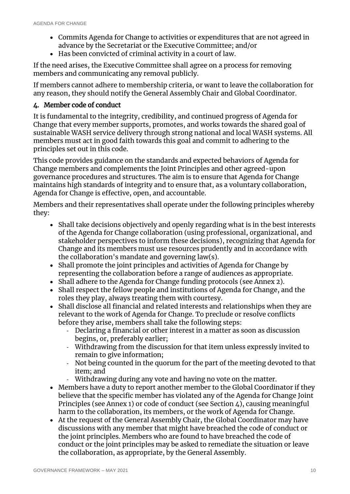- Commits Agenda for Change to activities or expenditures that are not agreed in advance by the Secretariat or the Executive Committee; and/or
- Has been convicted of criminal activity in a court of law.

If the need arises, the Executive Committee shall agree on a process for removing members and communicating any removal publicly.

If members cannot adhere to membership criteria, or want to leave the collaboration for any reason, they should notify the General Assembly Chair and Global Coordinator.

#### <span id="page-10-0"></span>4. Member code of conduct

It is fundamental to the integrity, credibility, and continued progress of Agenda for Change that every member supports, promotes, and works towards the shared goal of sustainable WASH service delivery through strong national and local WASH systems. All members must act in good faith towards this goal and commit to adhering to the principles set out in this code.

This code provides guidance on the standards and expected behaviors of Agenda for Change members and complements the Joint Principles and other agreed-upon governance procedures and structures. The aim is to ensure that Agenda for Change maintains high standards of integrity and to ensure that, as a voluntary collaboration, Agenda for Change is effective, open, and accountable.

Members and their representatives shall operate under the following principles whereby they:

- Shall take decisions objectively and openly regarding what is in the best interests of the Agenda for Change collaboration (using professional, organizational, and stakeholder perspectives to inform these decisions), recognizing that Agenda for Change and its members must use resources prudently and in accordance with the collaboration's mandate and governing law(s).
- Shall promote the joint principles and activities of Agenda for Change by representing the collaboration before a range of audiences as appropriate.
- Shall adhere to the Agenda for Change funding protocols (see Annex 2).
- Shall respect the fellow people and institutions of Agenda for Change, and the roles they play, always treating them with courtesy.
- Shall disclose all financial and related interests and relationships when they are relevant to the work of Agenda for Change. To preclude or resolve conflicts before they arise, members shall take the following steps:
	- Declaring a financial or other interest in a matter as soon as discussion begins, or, preferably earlier;
	- Withdrawing from the discussion for that item unless expressly invited to remain to give information;
	- Not being counted in the quorum for the part of the meeting devoted to that item; and
	- Withdrawing during any vote and having no vote on the matter.
- Members have a duty to report another member to the Global Coordinator if they believe that the specific member has violated any of the Agenda for Change Joint Principles (see Annex 1) or code of conduct (see Section 4), causing meaningful harm to the collaboration, its members, or the work of Agenda for Change.
- At the request of the General Assembly Chair, the Global Coordinator may have discussions with any member that might have breached the code of conduct or the joint principles. Members who are found to have breached the code of conduct or the joint principles may be asked to remediate the situation or leave the collaboration, as appropriate, by the General Assembly.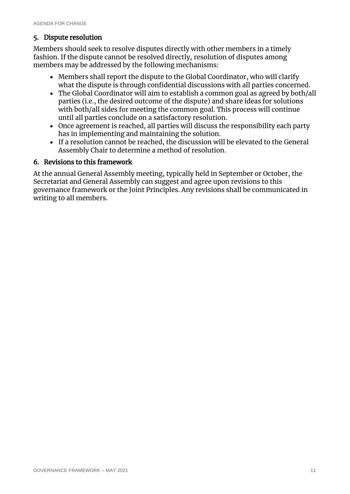#### <span id="page-11-0"></span>5. Dispute resolution

Members should seek to resolve disputes directly with other members in a timely fashion. If the dispute cannot be resolved directly, resolution of disputes among members may be addressed by the following mechanisms:

- Members shall report the dispute to the Global Coordinator, who will clarify what the dispute is through confidential discussions with all parties concerned.
- The Global Coordinator will aim to establish a common goal as agreed by both/all parties (i.e., the desired outcome of the dispute) and share ideas for solutions with both/all sides for meeting the common goal. This process will continue until all parties conclude on a satisfactory resolution.
- Once agreement is reached, all parties will discuss the responsibility each party has in implementing and maintaining the solution.
- If a resolution cannot be reached, the discussion will be elevated to the General Assembly Chair to determine a method of resolution.

#### <span id="page-11-1"></span>6. Revisions to this framework

At the annual General Assembly meeting, typically held in September or October, the Secretariat and General Assembly can suggest and agree upon revisions to this governance framework or the Joint Principles. Any revisions shall be communicated in writing to all members.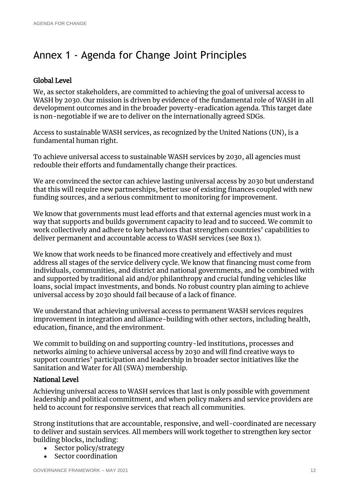## <span id="page-12-0"></span>Annex 1 - Agenda for Change Joint Principles

#### Global Level

We, as sector stakeholders, are committed to achieving the goal of universal access to WASH by 2030. Our mission is driven by evidence of the fundamental role of WASH in all development outcomes and in the broader poverty-eradication agenda. This target date is non-negotiable if we are to deliver on the internationally agreed SDGs.

Access to sustainable WASH services, as recognized by the United Nations (UN), is a fundamental human right.

To achieve universal access to sustainable WASH services by 2030, all agencies must redouble their efforts and fundamentally change their practices.

We are convinced the sector can achieve lasting universal access by 2030 but understand that this will require new partnerships, better use of existing finances coupled with new funding sources, and a serious commitment to monitoring for improvement.

We know that governments must lead efforts and that external agencies must work in a way that supports and builds government capacity to lead and to succeed. We commit to work collectively and adhere to key behaviors that strengthen countries' capabilities to deliver permanent and accountable access to WASH services (see Box 1).

We know that work needs to be financed more creatively and effectively and must address all stages of the service delivery cycle. We know that financing must come from individuals, communities, and district and national governments, and be combined with and supported by traditional aid and/or philanthropy and crucial funding vehicles like loans, social impact investments, and bonds. No robust country plan aiming to achieve universal access by 2030 should fail because of a lack of finance.

We understand that achieving universal access to permanent WASH services requires improvement in integration and alliance-building with other sectors, including health, education, finance, and the environment.

We commit to building on and supporting country-led institutions, processes and networks aiming to achieve universal access by 2030 and will find creative ways to support countries' participation and leadership in broader sector initiatives like the Sanitation and Water for All (SWA) membership.

#### National Level

Achieving universal access to WASH services that last is only possible with government leadership and political commitment, and when policy makers and service providers are held to account for responsive services that reach all communities.

Strong institutions that are accountable, responsive, and well-coordinated are necessary to deliver and sustain services. All members will work together to strengthen key sector building blocks, including:

- Sector policy/strategy
- Sector coordination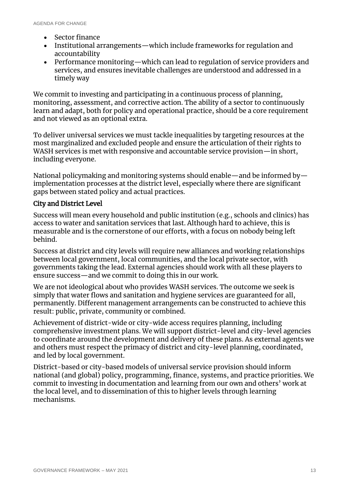- Sector finance
- Institutional arrangements—which include frameworks for regulation and accountability
- Performance monitoring—which can lead to regulation of service providers and services, and ensures inevitable challenges are understood and addressed in a timely way

We commit to investing and participating in a continuous process of planning, monitoring, assessment, and corrective action. The ability of a sector to continuously learn and adapt, both for policy and operational practice, should be a core requirement and not viewed as an optional extra.

To deliver universal services we must tackle inequalities by targeting resources at the most marginalized and excluded people and ensure the articulation of their rights to WASH services is met with responsive and accountable service provision—in short, including everyone.

National policymaking and monitoring systems should enable—and be informed by implementation processes at the district level, especially where there are significant gaps between stated policy and actual practices.

#### City and District Level

Success will mean every household and public institution (e.g., schools and clinics) has access to water and sanitation services that last. Although hard to achieve, this is measurable and is the cornerstone of our efforts, with a focus on nobody being left behind.

Success at district and city levels will require new alliances and working relationships between local government, local communities, and the local private sector, with governments taking the lead. External agencies should work with all these players to ensure success—and we commit to doing this in our work.

We are not ideological about who provides WASH services. The outcome we seek is simply that water flows and sanitation and hygiene services are guaranteed for all, permanently. Different management arrangements can be constructed to achieve this result: public, private, community or combined.

Achievement of district-wide or city-wide access requires planning, including comprehensive investment plans. We will support district-level and city-level agencies to coordinate around the development and delivery of these plans. As external agents we and others must respect the primacy of district and city-level planning, coordinated, and led by local government.

District-based or city-based models of universal service provision should inform national (and global) policy, programming, finance, systems, and practice priorities. We commit to investing in documentation and learning from our own and others' work at the local level, and to dissemination of this to higher levels through learning mechanisms.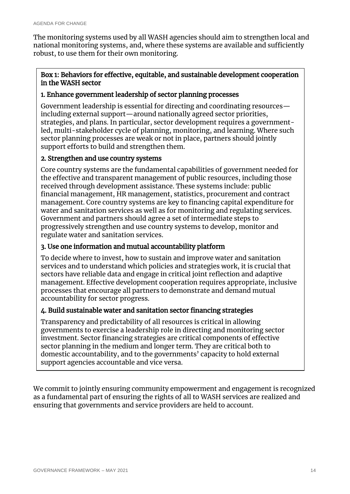The monitoring systems used by all WASH agencies should aim to strengthen local and national monitoring systems, and, where these systems are available and sufficiently robust, to use them for their own monitoring.

#### Box 1: Behaviors for effective, equitable, and sustainable development cooperation in the WASH sector

#### 1. Enhance government leadership of sector planning processes

Government leadership is essential for directing and coordinating resources including external support—around nationally agreed sector priorities, strategies, and plans. In particular, sector development requires a governmentled, multi-stakeholder cycle of planning, monitoring, and learning. Where such sector planning processes are weak or not in place, partners should jointly support efforts to build and strengthen them.

#### 2. Strengthen and use country systems

Core country systems are the fundamental capabilities of government needed for the effective and transparent management of public resources, including those received through development assistance. These systems include: public financial management, HR management, statistics, procurement and contract management. Core country systems are key to financing capital expenditure for water and sanitation services as well as for monitoring and regulating services. Government and partners should agree a set of intermediate steps to progressively strengthen and use country systems to develop, monitor and regulate water and sanitation services.

#### 3. Use one information and mutual accountability platform

To decide where to invest, how to sustain and improve water and sanitation services and to understand which policies and strategies work, it is crucial that sectors have reliable data and engage in critical joint reflection and adaptive management. Effective development cooperation requires appropriate, inclusive processes that encourage all partners to demonstrate and demand mutual accountability for sector progress.

#### 4. Build sustainable water and sanitation sector financing strategies

Transparency and predictability of all resources is critical in allowing governments to exercise a leadership role in directing and monitoring sector investment. Sector financing strategies are critical components of effective sector planning in the medium and longer term. They are critical both to domestic accountability, and to the governments' capacity to hold external support agencies accountable and vice versa.

We commit to jointly ensuring community empowerment and engagement is recognized as a fundamental part of ensuring the rights of all to WASH services are realized and ensuring that governments and service providers are held to account.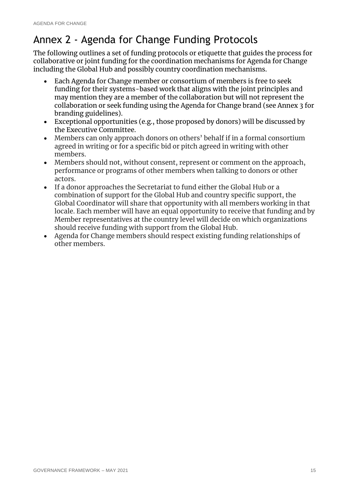## <span id="page-15-0"></span>Annex 2 - Agenda for Change Funding Protocols

The following outlines a set of funding protocols or etiquette that guides the process for collaborative or joint funding for the coordination mechanisms for Agenda for Change including the Global Hub and possibly country coordination mechanisms.

- Each Agenda for Change member or consortium of members is free to seek funding for their systems-based work that aligns with the joint principles and may mention they are a member of the collaboration but will not represent the collaboration or seek funding using the Agenda for Change brand (see Annex 3 for branding guidelines).
- Exceptional opportunities (e.g., those proposed by donors) will be discussed by the Executive Committee.
- Members can only approach donors on others' behalf if in a formal consortium agreed in writing or for a specific bid or pitch agreed in writing with other members.
- Members should not, without consent, represent or comment on the approach, performance or programs of other members when talking to donors or other actors.
- If a donor approaches the Secretariat to fund either the Global Hub or a combination of support for the Global Hub and country specific support, the Global Coordinator will share that opportunity with all members working in that locale. Each member will have an equal opportunity to receive that funding and by Member representatives at the country level will decide on which organizations should receive funding with support from the Global Hub.
- Agenda for Change members should respect existing funding relationships of other members.